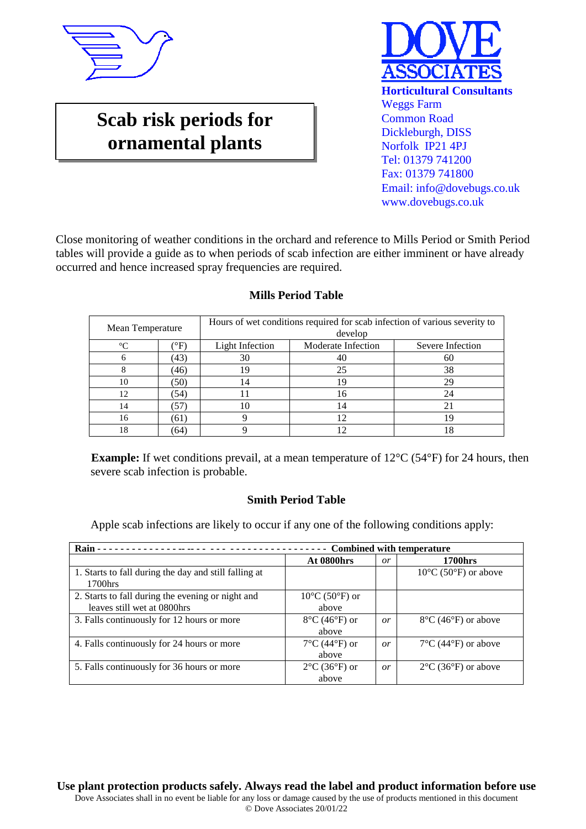

## **Scab risk periods for ornamental plants**



Close monitoring of weather conditions in the orchard and reference to Mills Period or Smith Period tables will provide a guide as to when periods of scab infection are either imminent or have already occurred and hence increased spray frequencies are required.

| Mean Temperature |             | Hours of wet conditions required for scab infection of various severity to<br>develop |                    |                  |  |  |
|------------------|-------------|---------------------------------------------------------------------------------------|--------------------|------------------|--|--|
| $\Gamma$         | $\rm ^{o}F$ | <b>Light Infection</b>                                                                | Moderate Infection | Severe Infection |  |  |
|                  | (43)        | 30                                                                                    | 40                 | 60               |  |  |
|                  | (46)        | 19                                                                                    | 25                 | 38               |  |  |
| 10               | (50)        | 14                                                                                    | 19                 | 29               |  |  |
| 12               | (54)        |                                                                                       | 16                 | 24               |  |  |
| 14               | 57          |                                                                                       | 14                 |                  |  |  |
| 16               | (61)        |                                                                                       |                    |                  |  |  |
| 18               | (64)        |                                                                                       |                    |                  |  |  |

## **Mills Period Table**

**Example:** If wet conditions prevail, at a mean temperature of 12<sup>o</sup>C (54<sup>o</sup>F) for 24 hours, then severe scab infection is probable.

## **Smith Period Table**

Apple scab infections are likely to occur if any one of the following conditions apply:

| Rain -                                                                           | <b>Combined with temperature</b><br>.        |           |                                           |  |  |
|----------------------------------------------------------------------------------|----------------------------------------------|-----------|-------------------------------------------|--|--|
|                                                                                  | <b>At 0800hrs</b>                            | or        | <b>1700hrs</b>                            |  |  |
| 1. Starts to fall during the day and still falling at<br>1700hrs                 |                                              |           | $10^{\circ}$ C (50 $^{\circ}$ F) or above |  |  |
| 2. Starts to fall during the evening or night and<br>leaves still wet at 0800hrs | $10^{\circ}$ C (50 $^{\circ}$ F) or<br>above |           |                                           |  |  |
| 3. Falls continuously for 12 hours or more                                       | $8^{\circ}$ C (46 $^{\circ}$ F) or<br>above  | <i>or</i> | $8^{\circ}$ C (46 $^{\circ}$ F) or above  |  |  |
| 4. Falls continuously for 24 hours or more                                       | $7^{\circ}$ C (44 $^{\circ}$ F) or<br>above  | or        | $7^{\circ}$ C (44 $^{\circ}$ F) or above  |  |  |
| 5. Falls continuously for 36 hours or more                                       | $2^{\circ}$ C (36 $^{\circ}$ F) or<br>above  | <i>or</i> | $2^{\circ}$ C (36 $^{\circ}$ F) or above  |  |  |